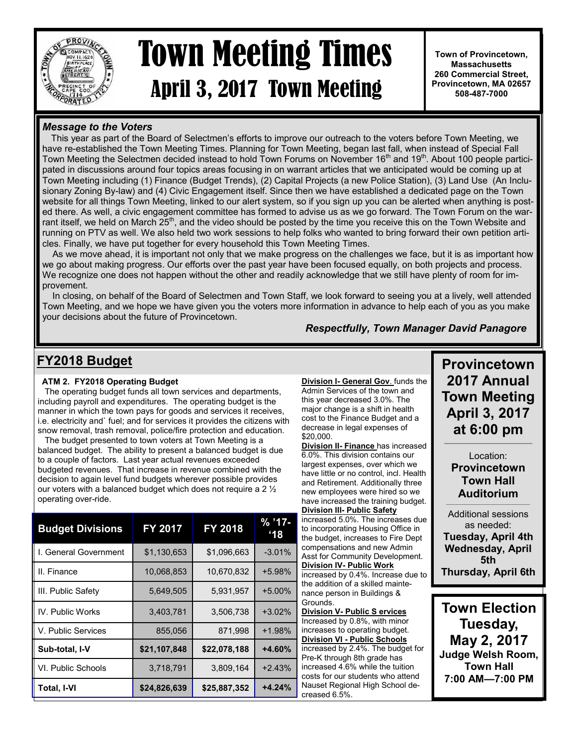

# April 3, 2017 Town Meeting Town Meeting Times

**Town of Provincetown, Massachusetts 260 Commercial Street, Provincetown, MA 02657 508-487-7000**

#### **Message to the Voters**

 This year as part of the Board of Selectmen's efforts to improve our outreach to the voters before Town Meeting, we have re-established the Town Meeting Times. Planning for Town Meeting, began last fall, when instead of Special Fall Town Meeting the Selectmen decided instead to hold Town Forums on November 16<sup>th</sup> and 19<sup>th</sup>. About 100 people participated in discussions around four topics areas focusing in on warrant articles that we anticipated would be coming up at Town Meeting including (1) Finance (Budget Trends), (2) Capital Projects (a new Police Station), (3) Land Use (An Inclusionary Zoning By-law) and (4) Civic Engagement itself. Since then we have established a dedicated page on the Town website for all things Town Meeting, linked to our alert system, so if you sign up you can be alerted when anything is posted there. As well, a civic engagement committee has formed to advise us as we go forward. The Town Forum on the warrant itself, we held on March  $25<sup>th</sup>$ , and the video should be posted by the time you receive this on the Town Website and running on PTV as well. We also held two work sessions to help folks who wanted to bring forward their own petition articles. Finally, we have put together for every household this Town Meeting Times.

 As we move ahead, it is important not only that we make progress on the challenges we face, but it is as important how we go about making progress. Our efforts over the past year have been focused equally, on both projects and process. We recognize one does not happen without the other and readily acknowledge that we still have plenty of room for improvement.

 In closing, on behalf of the Board of Selectmen and Town Staff, we look forward to seeing you at a lively, well attended Town Meeting, and we hope we have given you the voters more information in advance to help each of you as you make your decisions about the future of Provincetown.

#### *Respectfully, Town Manager David Panagore*

#### **FY2018 Budget**

#### **ATM 2. FY2018 Operating Budget**

 The operating budget funds all town services and departments, including payroll and expenditures. The operating budget is the manner in which the town pays for goods and services it receives, i.e. electricity and` fuel; and for services it provides the citizens with snow removal, trash removal, police/fire protection and education.

 The budget presented to town voters at Town Meeting is a balanced budget. The ability to present a balanced budget is due to a couple of factors. Last year actual revenues exceeded budgeted revenues. That increase in revenue combined with the decision to again level fund budgets wherever possible provides our voters with a balanced budget which does not require a 2 ½ operating over-ride.

| <b>Budget Divisions</b> | <b>FY 2017</b> | FY 2018      | $% '17-$<br>$^{\circ}18$ |
|-------------------------|----------------|--------------|--------------------------|
| I. General Government   | \$1,130,653    | \$1,096,663  | $-3.01%$                 |
| II. Finance             | 10,068,853     | 10,670,832   | +5.98%                   |
| III. Public Safety      | 5.649.505      | 5,931,957    | $+5.00\%$                |
| IV. Public Works        | 3,403,781      | 3,506,738    | $+3.02%$                 |
| V. Public Services      | 855,056        | 871.998      | $+1.98%$                 |
| Sub-total, I-V          | \$21,107,848   | \$22,078,188 | +4.60%                   |
| VI. Public Schools      | 3,718,791      | 3,809,164    | $+2.43%$                 |
| Total, I-VI             | \$24,826,639   | \$25,887,352 | $+4.24%$                 |

**Division I- General Gov**. funds the Admin Services of the town and this year decreased 3.0%. The major change is a shift in health cost to the Finance Budget and a decrease in legal expenses of \$20,000.

**Division II- Finance** has increased 6.0%. This division contains our largest expenses, over which we have little or no control, incl. Health and Retirement. Additionally three new employees were hired so we have increased the training budget. **Division III- Public Safety**

increased 5.0%. The increases due to incorporating Housing Office in the budget, increases to Fire Dept compensations and new Admin Asst for Community Development. **Division IV- Public Work** increased by 0.4%. Increase due to the addition of a skilled maintenance person in Buildings & Grounds.

**Division V- Public S ervices**  Increased by 0.8%, with minor increases to operating budget. **Division VI - Public Schools**  increased by 2.4%. The budget for Pre-K through 8th grade has increased 4.6% while the tuition costs for our students who attend Nauset Regional High School decreased 6.5%.

**Provincetown 2017 Annual Town Meeting April 3, 2017 at 6:00 pm**

Location: **Provincetown Town Hall Auditorium**  $\mathcal{L}_\text{max}$  and  $\mathcal{L}_\text{max}$  and  $\mathcal{L}_\text{max}$  and  $\mathcal{L}_\text{max}$ 

Additional sessions as needed: **Tuesday, April 4th Wednesday, April 5th Thursday, April 6th**

**Town Election Tuesday, May 2, 2017 Judge Welsh Room, Town Hall 7:00 AM—7:00 PM**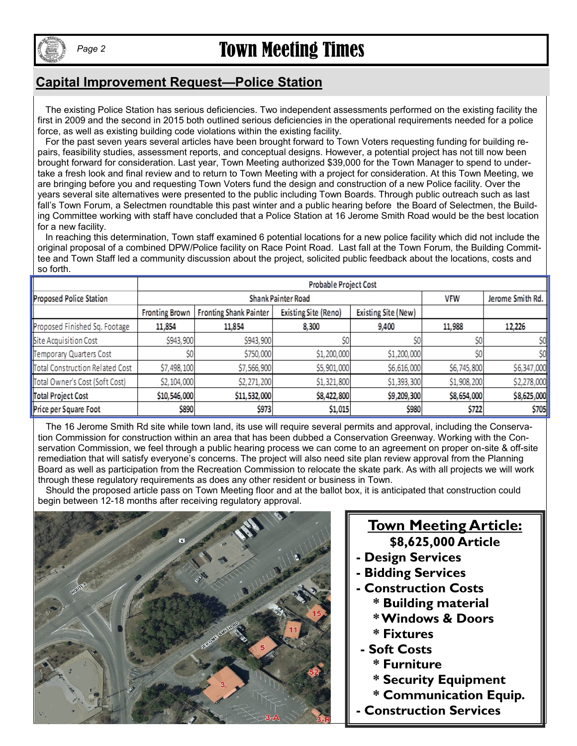

# Town Meeting Times *Page 2*

### **Capital Improvement Request—Police Station**

 The existing Police Station has serious deficiencies. Two independent assessments performed on the existing facility the first in 2009 and the second in 2015 both outlined serious deficiencies in the operational requirements needed for a police force, as well as existing building code violations within the existing facility.

 For the past seven years several articles have been brought forward to Town Voters requesting funding for building repairs, feasibility studies, assessment reports, and conceptual designs. However, a potential project has not till now been brought forward for consideration. Last year, Town Meeting authorized \$39,000 for the Town Manager to spend to undertake a fresh look and final review and to return to Town Meeting with a project for consideration. At this Town Meeting, we are bringing before you and requesting Town Voters fund the design and construction of a new Police facility. Over the years several site alternatives were presented to the public including Town Boards. Through public outreach such as last fall's Town Forum, a Selectmen roundtable this past winter and a public hearing before the Board of Selectmen, the Building Committee working with staff have concluded that a Police Station at 16 Jerome Smith Road would be the best location for a new facility.

 In reaching this determination, Town staff examined 6 potential locations for a new police facility which did not include the original proposal of a combined DPW/Police facility on Race Point Road. Last fall at the Town Forum, the Building Committee and Town Staff led a community discussion about the project, solicited public feedback about the locations, costs and so forth.

|                                 | Probable Project Cost |                               |                      |                     |             |             |
|---------------------------------|-----------------------|-------------------------------|----------------------|---------------------|-------------|-------------|
| Proposed Police Station         |                       | Shank Painter Road            | <b>VFW</b>           | Jerome Smith Rd.    |             |             |
|                                 | Fronting Brown        | <b>Fronting Shank Painter</b> | Existing Site (Reno) | Existing Site (New) |             |             |
| Proposed Finished Sq. Footage   | 11,854                | 11,854                        | 8,300                | 9,400               | 11,988      | 12,226      |
| Site Acquisition Cost           | \$943,900             | \$943,900                     | \$O                  | \$O                 | \$O         | \$0         |
| Temporary Quarters Cost         | \$0                   | \$750,000                     | \$1,200,000          | \$1,200,000         | ŚO          | \$0         |
| Total Construction Related Cost | \$7,498,100           | \$7,566,900                   | \$5,901,000          | \$6,616,000         | \$6,745,800 | \$6,347,000 |
| Total Owner's Cost (Soft Cost)  | \$2,104,000           | \$2,271,200                   | \$1,321,800          | \$1,393,300         | \$1,908,200 | \$2,278,000 |
| Total Project Cost              | \$10,546,000          | \$11,532,000                  | \$8,422,800          | \$9,209,300         | \$8,654,000 | \$8,625,000 |
| Price per Square Foot           | \$890                 | \$973                         | \$1,015              | \$980               | \$722       | \$705       |

 The 16 Jerome Smith Rd site while town land, its use will require several permits and approval, including the Conservation Commission for construction within an area that has been dubbed a Conservation Greenway. Working with the Conservation Commission, we feel through a public hearing process we can come to an agreement on proper on-site & off-site remediation that will satisfy everyone's concerns. The project will also need site plan review approval from the Planning Board as well as participation from the Recreation Commission to relocate the skate park. As with all projects we will work through these regulatory requirements as does any other resident or business in Town.

 Should the proposed article pass on Town Meeting floor and at the ballot box, it is anticipated that construction could begin between 12-18 months after receiving regulatory approval.



### **Town Meeting Article: \$8,625,000 Article**

- 
- **- Design Services**
- **- Bidding Services**
- **- Construction Costs**
	- **\* Building material**
	- **\* Windows & Doors**
	- **\* Fixtures**
- **- Soft Costs**
	- **\* Furniture**
	- **\* Security Equipment**
	- **\* Communication Equip.**
- **- Construction Services**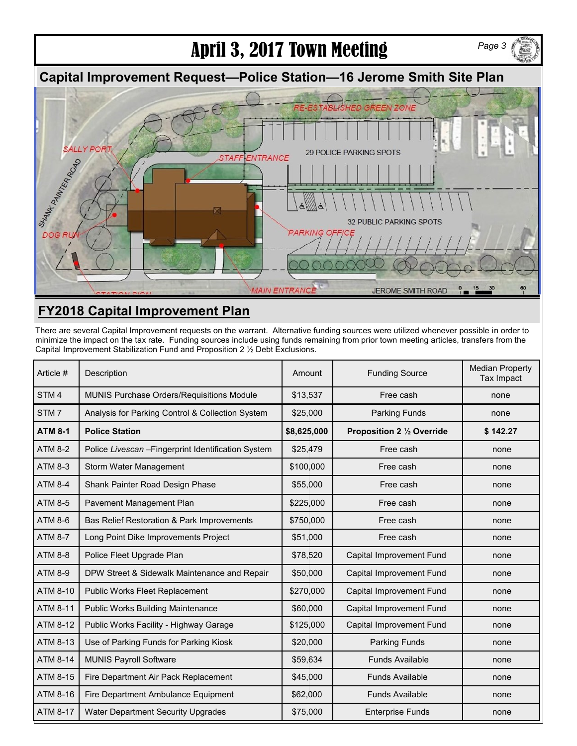# April 3, 2017 Town Meeting

### **Capital Improvement Request—Police Station—16 Jerome Smith Site Plan**



### **FY2018 Capital Improvement Plan**

There are several Capital Improvement requests on the warrant. Alternative funding sources were utilized whenever possible in order to minimize the impact on the tax rate. Funding sources include using funds remaining from prior town meeting articles, transfers from the Capital Improvement Stabilization Fund and Proposition 2 ½ Debt Exclusions.

| Article #        | Description                                         | Amount      | <b>Funding Source</b>      | <b>Median Property</b><br><b>Tax Impact</b> |
|------------------|-----------------------------------------------------|-------------|----------------------------|---------------------------------------------|
| STM <sub>4</sub> | MUNIS Purchase Orders/Requisitions Module           | \$13,537    | Free cash                  | none                                        |
| STM7             | Analysis for Parking Control & Collection System    | \$25,000    | <b>Parking Funds</b>       | none                                        |
| <b>ATM 8-1</b>   | <b>Police Station</b>                               | \$8,625,000 | Proposition 2 1/2 Override | \$142.27                                    |
| <b>ATM 8-2</b>   | Police Livescan - Fingerprint Identification System | \$25,479    | Free cash                  | none                                        |
| <b>ATM 8-3</b>   | Storm Water Management                              | \$100,000   | Free cash                  | none                                        |
| <b>ATM 8-4</b>   | Shank Painter Road Design Phase                     | \$55,000    | Free cash                  | none                                        |
| <b>ATM 8-5</b>   | Pavement Management Plan                            | \$225,000   | Free cash                  | none                                        |
| <b>ATM 8-6</b>   | Bas Relief Restoration & Park Improvements          | \$750,000   | Free cash                  | none                                        |
| <b>ATM 8-7</b>   | Long Point Dike Improvements Project                | \$51,000    | Free cash                  | none                                        |
| <b>ATM 8-8</b>   | Police Fleet Upgrade Plan                           | \$78,520    | Capital Improvement Fund   | none                                        |
| <b>ATM 8-9</b>   | DPW Street & Sidewalk Maintenance and Repair        | \$50,000    | Capital Improvement Fund   | none                                        |
| ATM 8-10         | <b>Public Works Fleet Replacement</b>               | \$270,000   | Capital Improvement Fund   | none                                        |
| <b>ATM 8-11</b>  | <b>Public Works Building Maintenance</b>            | \$60,000    | Capital Improvement Fund   | none                                        |
| ATM 8-12         | Public Works Facility - Highway Garage              | \$125,000   | Capital Improvement Fund   | none                                        |
| ATM 8-13         | Use of Parking Funds for Parking Kiosk              | \$20,000    | Parking Funds              | none                                        |
| ATM 8-14         | <b>MUNIS Payroll Software</b>                       | \$59,634    | <b>Funds Available</b>     | none                                        |
| ATM 8-15         | Fire Department Air Pack Replacement                | \$45,000    | <b>Funds Available</b>     | none                                        |
| ATM 8-16         | Fire Department Ambulance Equipment                 | \$62,000    | <b>Funds Available</b>     | none                                        |
| <b>ATM 8-17</b>  | Water Department Security Upgrades                  | \$75,000    | <b>Enterprise Funds</b>    | none                                        |